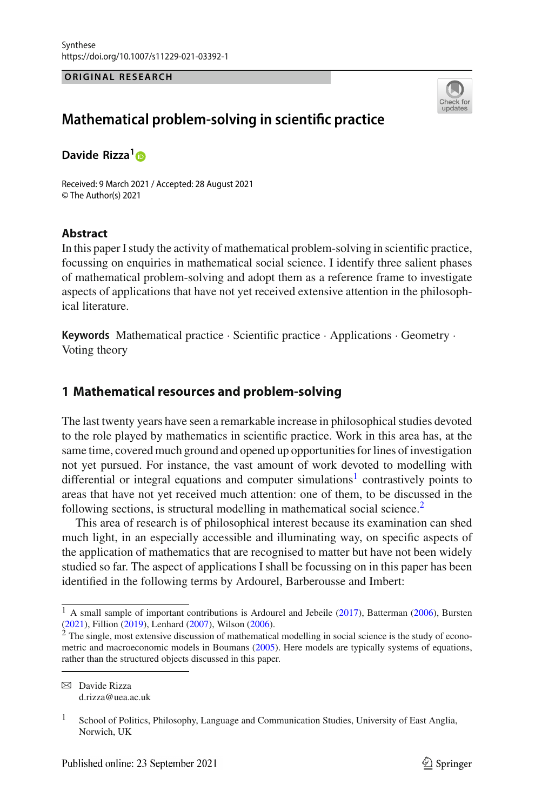#### **ORIGINAL RESEARCH**



# **Mathematical problem-solving in scientific practice**

**Davide Rizza[1](http://orcid.org/0000-0002-1375-371X)**

Received: 9 March 2021 / Accepted: 28 August 2021 © The Author(s) 2021

### **Abstract**

In this paper I study the activity of mathematical problem-solving in scientific practice, focussing on enquiries in mathematical social science. I identify three salient phases of mathematical problem-solving and adopt them as a reference frame to investigate aspects of applications that have not yet received extensive attention in the philosophical literature.

**Keywords** Mathematical practice · Scientific practice · Applications · Geometry · Voting theory

# **1 Mathematical resources and problem-solving**

The last twenty years have seen a remarkable increase in philosophical studies devoted to the role played by mathematics in scientific practice. Work in this area has, at the same time, covered much ground and opened up opportunities for lines of investigation not yet pursued. For instance, the vast amount of work devoted to modelling with differential or integral equations and computer simulations<sup>1</sup> contrastively points to areas that have not yet received much attention: one of them, to be discussed in the following sections, is structural modelling in mathematical social science.<sup>2</sup>

This area of research is of philosophical interest because its examination can shed much light, in an especially accessible and illuminating way, on specific aspects of the application of mathematics that are recognised to matter but have not been widely studied so far. The aspect of applications I shall be focussing on in this paper has been identified in the following terms by Ardourel, Barberousse and Imbert:

 $1$  A small sampl[e](#page-19-0) of important contributions is Ardourel and Jebeile [\(2017\)](#page-19-0), Batterma[n](#page-19-2) [\(2006](#page-19-1)), Bursten [\(2021](#page-19-2)), Fillio[n](#page-19-3) [\(2019\)](#page-19-3), Lenhar[d](#page-19-4) [\(2007\)](#page-19-4), Wilso[n](#page-20-0) [\(2006\)](#page-20-0).

<sup>&</sup>lt;sup>2</sup> The single, most extensive discussion of mathematical modelling in social science is the study of econometric and macroeconomic models in Bouman[s](#page-19-5) [\(2005\)](#page-19-5). Here models are typically systems of equations, rather than the structured objects discussed in this paper.

B Davide Rizza d.rizza@uea.ac.uk

<sup>&</sup>lt;sup>1</sup> School of Politics, Philosophy, Language and Communication Studies, University of East Anglia, Norwich, UK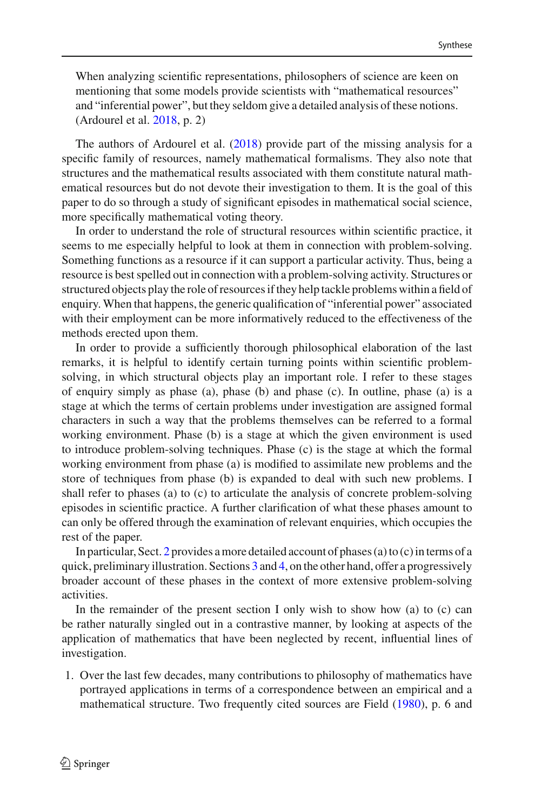When analyzing scientific representations, philosophers of science are keen on mentioning that some models provide scientists with "mathematical resources" and "inferential power", but they seldom give a detailed analysis of these notions. (Ardourel et al[.](#page-19-6) [2018,](#page-19-6) p. 2)

The authors of Ardourel et al[.](#page-19-6) [\(2018\)](#page-19-6) provide part of the missing analysis for a specific family of resources, namely mathematical formalisms. They also note that structures and the mathematical results associated with them constitute natural mathematical resources but do not devote their investigation to them. It is the goal of this paper to do so through a study of significant episodes in mathematical social science, more specifically mathematical voting theory.

In order to understand the role of structural resources within scientific practice, it seems to me especially helpful to look at them in connection with problem-solving. Something functions as a resource if it can support a particular activity. Thus, being a resource is best spelled out in connection with a problem-solving activity. Structures or structured objects play the role of resources if they help tackle problems within a field of enquiry. When that happens, the generic qualification of "inferential power" associated with their employment can be more informatively reduced to the effectiveness of the methods erected upon them.

In order to provide a sufficiently thorough philosophical elaboration of the last remarks, it is helpful to identify certain turning points within scientific problemsolving, in which structural objects play an important role. I refer to these stages of enquiry simply as phase (a), phase (b) and phase (c). In outline, phase (a) is a stage at which the terms of certain problems under investigation are assigned formal characters in such a way that the problems themselves can be referred to a formal working environment. Phase (b) is a stage at which the given environment is used to introduce problem-solving techniques. Phase (c) is the stage at which the formal working environment from phase (a) is modified to assimilate new problems and the store of techniques from phase (b) is expanded to deal with such new problems. I shall refer to phases (a) to (c) to articulate the analysis of concrete problem-solving episodes in scientific practice. A further clarification of what these phases amount to can only be offered through the examination of relevant enquiries, which occupies the rest of the paper.

In particular, Sect. [2](#page-3-0) provides a more detailed account of phases (a) to (c) in terms of a quick, preliminary illustration. Sections [3](#page-5-0) and [4,](#page-9-0) on the other hand, offer a progressively broader account of these phases in the context of more extensive problem-solving activities.

In the remainder of the present section I only wish to show how (a) to (c) can be rather naturally singled out in a contrastive manner, by looking at aspects of the application of mathematics that have been neglected by recent, influential lines of investigation.

1. Over the last few decades, many contributions to philosophy of mathematics have portrayed applications in terms of a correspondence between an empirical and a mathematical structure. Two frequently cited sources are Fiel[d](#page-19-7) [\(1980\)](#page-19-7), p. 6 and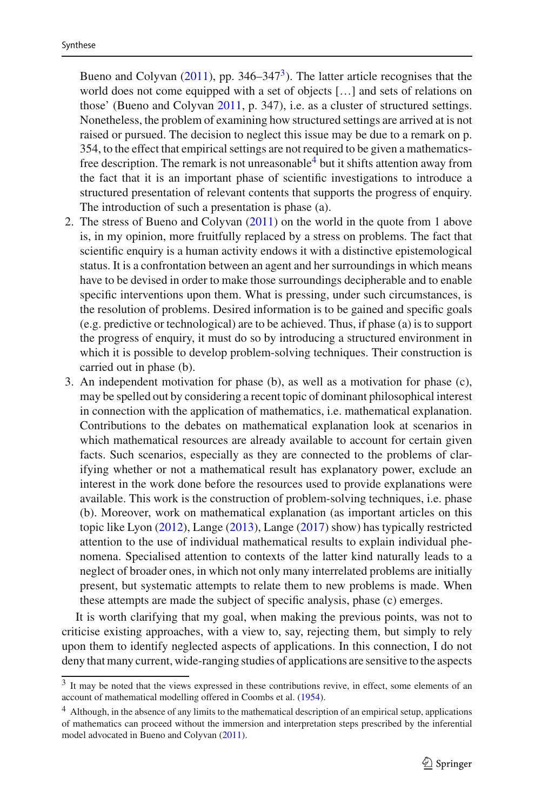Bue[n](#page-19-8)o and Colyvan  $(2011)$ , pp. 346–347<sup>3</sup>). The latter article recognises that the world does not come equipped with a set of objects […] and sets of relations on those' (Bueno and Colyva[n](#page-19-8) [2011,](#page-19-8) p. 347), i.e. as a cluster of structured settings. Nonetheless, the problem of examining how structured settings are arrived at is not raised or pursued. The decision to neglect this issue may be due to a remark on p. 354, to the effect that empirical settings are not required to be given a mathematicsfree description. The remark is not unreasonable  $\frac{4}{3}$  $\frac{4}{3}$  $\frac{4}{3}$  but it shifts attention away from the fact that it is an important phase of scientific investigations to introduce a structured presentation of relevant contents that supports the progress of enquiry. The introduction of such a presentation is phase (a).

- 2. The stress of Bueno and Colyva[n](#page-19-8) [\(2011](#page-19-8)) on the world in the quote from 1 above is, in my opinion, more fruitfully replaced by a stress on problems. The fact that scientific enquiry is a human activity endows it with a distinctive epistemological status. It is a confrontation between an agent and her surroundings in which means have to be devised in order to make those surroundings decipherable and to enable specific interventions upon them. What is pressing, under such circumstances, is the resolution of problems. Desired information is to be gained and specific goals (e.g. predictive or technological) are to be achieved. Thus, if phase (a) is to support the progress of enquiry, it must do so by introducing a structured environment in which it is possible to develop problem-solving techniques. Their construction is carried out in phase (b).
- 3. An independent motivation for phase (b), as well as a motivation for phase (c), may be spelled out by considering a recent topic of dominant philosophical interest in connection with the application of mathematics, i.e. mathematical explanation. Contributions to the debates on mathematical explanation look at scenarios in which mathematical resources are already available to account for certain given facts. Such scenarios, especially as they are connected to the problems of clarifying whether or not a mathematical result has explanatory power, exclude an interest in the work done before the resources used to provide explanations were available. This work is the construction of problem-solving techniques, i.e. phase (b). Moreover, work on mathematical explanation (as important articles on this topic like Lyo[n](#page-20-1) [\(2012\)](#page-20-1), Lang[e](#page-19-9) [\(2013\)](#page-19-9), Lang[e](#page-19-10) [\(2017\)](#page-19-10) show) has typically restricted attention to the use of individual mathematical results to explain individual phenomena. Specialised attention to contexts of the latter kind naturally leads to a neglect of broader ones, in which not only many interrelated problems are initially present, but systematic attempts to relate them to new problems is made. When these attempts are made the subject of specific analysis, phase (c) emerges.

It is worth clarifying that my goal, when making the previous points, was not to criticise existing approaches, with a view to, say, rejecting them, but simply to rely upon them to identify neglected aspects of applications. In this connection, I do not deny that many current, wide-ranging studies of applications are sensitive to the aspects

<span id="page-2-0"></span><sup>3</sup> It may be noted that the views expressed in these contributions revive, in effect, some elements of an account of mathematical modelling offered in Coombs et al[.](#page-19-11) [\(1954](#page-19-11)).

<span id="page-2-1"></span><sup>&</sup>lt;sup>4</sup> Although, in the absence of any limits to the mathematical description of an empirical setup, applications of mathematics can proceed without the immersion and interpretation steps prescribed by the inferential model advocated in Bueno and Colyva[n](#page-19-8) [\(2011\)](#page-19-8).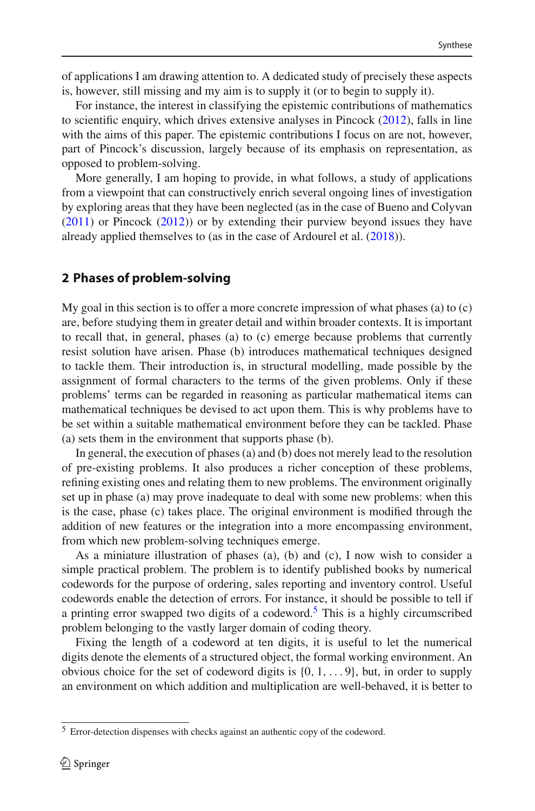of applications I am drawing attention to. A dedicated study of precisely these aspects is, however, still missing and my aim is to supply it (or to begin to supply it).

For instance, the interest in classifying the epistemic contributions of mathematics to scientific enquiry, which drives extensive analyses in Pincoc[k](#page-20-2)  $(2012)$  $(2012)$ , falls in line with the aims of this paper. The epistemic contributions I focus on are not, however, part of Pincock's discussion, largely because of its emphasis on representation, as opposed to problem-solving.

More generally, I am hoping to provide, in what follows, a study of applications from a viewpoint that can constructively enrich several ongoing lines of investigation by exploring areas that they have been neglected (as in the case of Bueno and Colyva[n](#page-19-8) [\(2011\)](#page-19-8) or Pincoc[k](#page-20-2) [\(2012\)](#page-20-2)) or by extending their purview beyond issues they have already applied themselves to (as in the case of Ardourel et al[.](#page-19-6) [\(2018](#page-19-6))).

# <span id="page-3-0"></span>**2 Phases of problem-solving**

My goal in this section is to offer a more concrete impression of what phases (a) to (c) are, before studying them in greater detail and within broader contexts. It is important to recall that, in general, phases (a) to (c) emerge because problems that currently resist solution have arisen. Phase (b) introduces mathematical techniques designed to tackle them. Their introduction is, in structural modelling, made possible by the assignment of formal characters to the terms of the given problems. Only if these problems' terms can be regarded in reasoning as particular mathematical items can mathematical techniques be devised to act upon them. This is why problems have to be set within a suitable mathematical environment before they can be tackled. Phase (a) sets them in the environment that supports phase (b).

In general, the execution of phases (a) and (b) does not merely lead to the resolution of pre-existing problems. It also produces a richer conception of these problems, refining existing ones and relating them to new problems. The environment originally set up in phase (a) may prove inadequate to deal with some new problems: when this is the case, phase (c) takes place. The original environment is modified through the addition of new features or the integration into a more encompassing environment, from which new problem-solving techniques emerge.

As a miniature illustration of phases (a), (b) and (c), I now wish to consider a simple practical problem. The problem is to identify published books by numerical codewords for the purpose of ordering, sales reporting and inventory control. Useful codewords enable the detection of errors. For instance, it should be possible to tell if a printing error swapped two digits of a codeword.<sup>5</sup> This is a highly circumscribed problem belonging to the vastly larger domain of coding theory.

Fixing the length of a codeword at ten digits, it is useful to let the numerical digits denote the elements of a structured object, the formal working environment. An obvious choice for the set of codeword digits is  $\{0, 1, \ldots, 9\}$ , but, in order to supply an environment on which addition and multiplication are well-behaved, it is better to

<span id="page-3-1"></span><sup>5</sup> Error-detection dispenses with checks against an authentic copy of the codeword.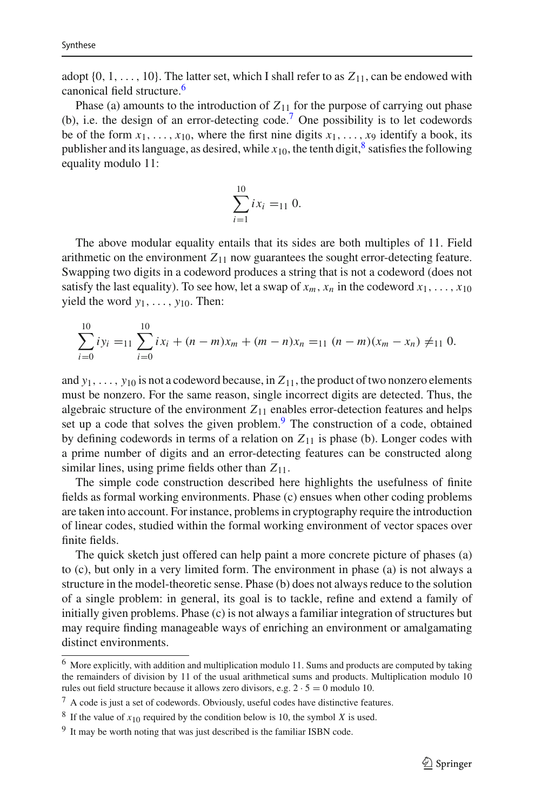adopt  $\{0, 1, \ldots, 10\}$ . The latter set, which I shall refer to as  $Z_{11}$ , can be endowed with canonical field structure.<sup>6</sup>

Phase (a) amounts to the introduction of  $Z_{11}$  for the purpose of carrying out phase (b), i.e. the design of an error-detecting code[.7](#page-4-1) One possibility is to let codewords be of the form  $x_1, \ldots, x_{10}$ , where the first nine digits  $x_1, \ldots, x_9$  identify a book, its publisher and its language, as desired, while  $x_{10}$ , the tenth digit,  $\frac{8}{5}$  $\frac{8}{5}$  $\frac{8}{5}$  satisfies the following equality modulo 11:

$$
\sum_{i=1}^{10} ix_i =_{11} 0.
$$

The above modular equality entails that its sides are both multiples of 11. Field arithmetic on the environment  $Z_{11}$  now guarantees the sought error-detecting feature. Swapping two digits in a codeword produces a string that is not a codeword (does not satisfy the last equality). To see how, let a swap of  $x_m$ ,  $x_n$  in the codeword  $x_1, \ldots, x_{10}$ yield the word *y*1,..., *y*10. Then:

$$
\sum_{i=0}^{10} iy_i =_{11} \sum_{i=0}^{10} ix_i + (n-m)x_m + (m-n)x_n =_{11} (n-m)(x_m - x_n) \neq_{11} 0.
$$

and  $y_1, \ldots, y_{10}$  is not a codeword because, in  $Z_{11}$ , the product of two nonzero elements must be nonzero. For the same reason, single incorrect digits are detected. Thus, the algebraic structure of the environment  $Z_{11}$  enables error-detection features and helps set up a code that solves the given problem.<sup>[9](#page-4-3)</sup> The construction of a code, obtained by defining codewords in terms of a relation on  $Z_{11}$  is phase (b). Longer codes with a prime number of digits and an error-detecting features can be constructed along similar lines, using prime fields other than *Z*11.

The simple code construction described here highlights the usefulness of finite fields as formal working environments. Phase (c) ensues when other coding problems are taken into account. For instance, problems in cryptography require the introduction of linear codes, studied within the formal working environment of vector spaces over finite fields.

The quick sketch just offered can help paint a more concrete picture of phases (a) to (c), but only in a very limited form. The environment in phase (a) is not always a structure in the model-theoretic sense. Phase (b) does not always reduce to the solution of a single problem: in general, its goal is to tackle, refine and extend a family of initially given problems. Phase (c) is not always a familiar integration of structures but may require finding manageable ways of enriching an environment or amalgamating distinct environments.

<span id="page-4-0"></span><sup>6</sup> More explicitly, with addition and multiplication modulo 11. Sums and products are computed by taking the remainders of division by 11 of the usual arithmetical sums and products. Multiplication modulo 10 rules out field structure because it allows zero divisors, e.g.  $2 \cdot 5 = 0$  modulo 10.

<span id="page-4-1"></span> $7$  A code is just a set of codewords. Obviously, useful codes have distinctive features.

<span id="page-4-2"></span><sup>&</sup>lt;sup>8</sup> If the value of  $x_{10}$  required by the condition below is 10, the symbol *X* is used.

<span id="page-4-3"></span><sup>&</sup>lt;sup>9</sup> It may be worth noting that was just described is the familiar ISBN code.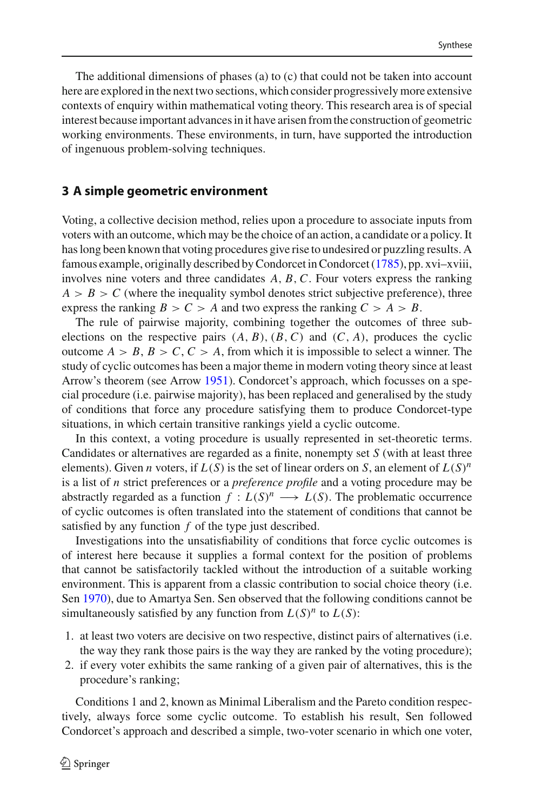The additional dimensions of phases (a) to (c) that could not be taken into account here are explored in the next two sections, which consider progressively more extensive contexts of enquiry within mathematical voting theory. This research area is of special interest because important advances in it have arisen from the construction of geometric working environments. These environments, in turn, have supported the introduction of ingenuous problem-solving techniques.

## <span id="page-5-0"></span>**3 A simple geometric environment**

Voting, a collective decision method, relies upon a procedure to associate inputs from voters with an outcome, which may be the choice of an action, a candidate or a policy. It has long been known that voting procedures give rise to undesired or puzzling results. A famous example, originally described by Condorcet in Condorce[t](#page-19-12) [\(1785](#page-19-12)), pp. xvi–xviii, involves nine voters and three candidates *A*, *B*,*C*. Four voters express the ranking  $A > B > C$  (where the inequality symbol denotes strict subjective preference), three express the ranking  $B > C > A$  and two express the ranking  $C > A > B$ .

The rule of pairwise majority, combining together the outcomes of three subelections on the respective pairs  $(A, B), (B, C)$  and  $(C, A)$ , produces the cyclic outcome  $A > B$ ,  $B > C$ ,  $C > A$ , from which it is impossible to select a winner. The study of cyclic outcomes has been a major theme in modern voting theory since at least Arrow's theorem (see Arro[w](#page-19-13) [1951\)](#page-19-13). Condorcet's approach, which focusses on a special procedure (i.e. pairwise majority), has been replaced and generalised by the study of conditions that force any procedure satisfying them to produce Condorcet-type situations, in which certain transitive rankings yield a cyclic outcome.

In this context, a voting procedure is usually represented in set-theoretic terms. Candidates or alternatives are regarded as a finite, nonempty set *S* (with at least three elements). Given *n* voters, if  $L(S)$  is the set of linear orders on *S*, an element of  $L(S)^n$ is a list of *n* strict preferences or a *preference profile* and a voting procedure may be abstractly regarded as a function  $f: L(S)^n \longrightarrow L(S)$ . The problematic occurrence of cyclic outcomes is often translated into the statement of conditions that cannot be satisfied by any function *f* of the type just described.

Investigations into the unsatisfiability of conditions that force cyclic outcomes is of interest here because it supplies a formal context for the position of problems that cannot be satisfactorily tackled without the introduction of a suitable working environment. This is apparent from a classic contribution to social choice theory (i.e. Se[n](#page-20-3) [1970\)](#page-20-3), due to Amartya Sen. Sen observed that the following conditions cannot be simultaneously satisfied by any function from  $L(S)^n$  to  $L(S)$ :

- 1. at least two voters are decisive on two respective, distinct pairs of alternatives (i.e. the way they rank those pairs is the way they are ranked by the voting procedure);
- 2. if every voter exhibits the same ranking of a given pair of alternatives, this is the procedure's ranking;

Conditions 1 and 2, known as Minimal Liberalism and the Pareto condition respectively, always force some cyclic outcome. To establish his result, Sen followed Condorcet's approach and described a simple, two-voter scenario in which one voter,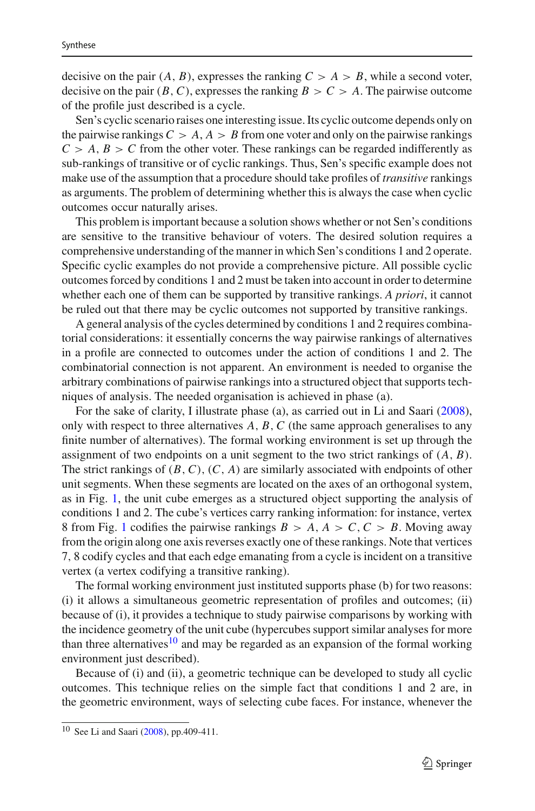decisive on the pair  $(A, B)$ , expresses the ranking  $C > A > B$ , while a second voter, decisive on the pair  $(B, C)$ , expresses the ranking  $B > C > A$ . The pairwise outcome of the profile just described is a cycle.

Sen's cyclic scenario raises one interesting issue. Its cyclic outcome depends only on the pairwise rankings  $C > A$ ,  $A > B$  from one voter and only on the pairwise rankings  $C > A$ ,  $B > C$  from the other voter. These rankings can be regarded indifferently as sub-rankings of transitive or of cyclic rankings. Thus, Sen's specific example does not make use of the assumption that a procedure should take profiles of *transitive* rankings as arguments. The problem of determining whether this is always the case when cyclic outcomes occur naturally arises.

This problem is important because a solution shows whether or not Sen's conditions are sensitive to the transitive behaviour of voters. The desired solution requires a comprehensive understanding of the manner in which Sen's conditions 1 and 2 operate. Specific cyclic examples do not provide a comprehensive picture. All possible cyclic outcomes forced by conditions 1 and 2 must be taken into account in order to determine whether each one of them can be supported by transitive rankings. *A priori*, it cannot be ruled out that there may be cyclic outcomes not supported by transitive rankings.

A general analysis of the cycles determined by conditions 1 and 2 requires combinatorial considerations: it essentially concerns the way pairwise rankings of alternatives in a profile are connected to outcomes under the action of conditions 1 and 2. The combinatorial connection is not apparent. An environment is needed to organise the arbitrary combinations of pairwise rankings into a structured object that supports techniques of analysis. The needed organisation is achieved in phase (a).

For the sake of clarity, I illustrate phase (a), as carried out in Li and Saar[i](#page-19-14) [\(2008](#page-19-14)), only with respect to three alternatives *A*, *B*,*C* (the same approach generalises to any finite number of alternatives). The formal working environment is set up through the assignment of two endpoints on a unit segment to the two strict rankings of (*A*, *B*). The strict rankings of (*B*,*C*), (*C*, *A*) are similarly associated with endpoints of other unit segments. When these segments are located on the axes of an orthogonal system, as in Fig. [1,](#page-7-0) the unit cube emerges as a structured object supporting the analysis of conditions 1 and 2. The cube's vertices carry ranking information: for instance, vertex 8 from Fig. [1](#page-7-0) codifies the pairwise rankings  $B > A$ ,  $A > C$ ,  $C > B$ . Moving away from the origin along one axis reverses exactly one of these rankings. Note that vertices 7, 8 codify cycles and that each edge emanating from a cycle is incident on a transitive vertex (a vertex codifying a transitive ranking).

The formal working environment just instituted supports phase (b) for two reasons: (i) it allows a simultaneous geometric representation of profiles and outcomes; (ii) because of (i), it provides a technique to study pairwise comparisons by working with the incidence geometry of the unit cube (hypercubes support similar analyses for more than three alternatives<sup>[10](#page-6-0)</sup> and may be regarded as an expansion of the formal working environment just described).

Because of (i) and (ii), a geometric technique can be developed to study all cyclic outcomes. This technique relies on the simple fact that conditions 1 and 2 are, in the geometric environment, ways of selecting cube faces. For instance, whenever the

<span id="page-6-0"></span><sup>10</sup> See Li and Saar[i](#page-19-14) [\(2008](#page-19-14)), pp.409-411.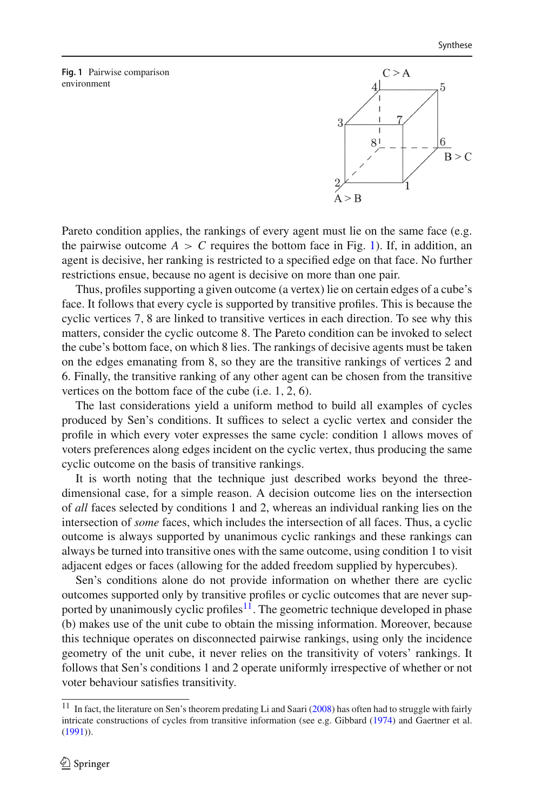<span id="page-7-0"></span>**Fig. 1** Pairwise comparison environment



Pareto condition applies, the rankings of every agent must lie on the same face (e.g. the pairwise outcome  $A > C$  requires the bottom face in Fig. [1\)](#page-7-0). If, in addition, an agent is decisive, her ranking is restricted to a specified edge on that face. No further restrictions ensue, because no agent is decisive on more than one pair.

Thus, profiles supporting a given outcome (a vertex) lie on certain edges of a cube's face. It follows that every cycle is supported by transitive profiles. This is because the cyclic vertices 7, 8 are linked to transitive vertices in each direction. To see why this matters, consider the cyclic outcome 8. The Pareto condition can be invoked to select the cube's bottom face, on which 8 lies. The rankings of decisive agents must be taken on the edges emanating from 8, so they are the transitive rankings of vertices 2 and 6. Finally, the transitive ranking of any other agent can be chosen from the transitive vertices on the bottom face of the cube (i.e. 1, 2, 6).

The last considerations yield a uniform method to build all examples of cycles produced by Sen's conditions. It suffices to select a cyclic vertex and consider the profile in which every voter expresses the same cycle: condition 1 allows moves of voters preferences along edges incident on the cyclic vertex, thus producing the same cyclic outcome on the basis of transitive rankings.

It is worth noting that the technique just described works beyond the threedimensional case, for a simple reason. A decision outcome lies on the intersection of *all* faces selected by conditions 1 and 2, whereas an individual ranking lies on the intersection of *some* faces, which includes the intersection of all faces. Thus, a cyclic outcome is always supported by unanimous cyclic rankings and these rankings can always be turned into transitive ones with the same outcome, using condition 1 to visit adjacent edges or faces (allowing for the added freedom supplied by hypercubes).

Sen's conditions alone do not provide information on whether there are cyclic outcomes supported only by transitive profiles or cyclic outcomes that are never supported by unanimously cyclic profiles<sup>11</sup>. The geometric technique developed in phase (b) makes use of the unit cube to obtain the missing information. Moreover, because this technique operates on disconnected pairwise rankings, using only the incidence geometry of the unit cube, it never relies on the transitivity of voters' rankings. It follows that Sen's conditions 1 and 2 operate uniformly irrespective of whether or not voter behaviour satisfies transitivity.

<span id="page-7-1"></span><sup>&</sup>lt;sup>11</sup> In fact, the l[i](#page-19-14)terature on Sen's theorem predating Li and Saari [\(2008\)](#page-19-14) has often had to struggle with fairly intricate constructions of cycles from transitive information (see e.g. Gibbar[d](#page-19-15) [\(1974](#page-19-15)) and Gaertner et al[.](#page-19-16) [\(1991](#page-19-16))).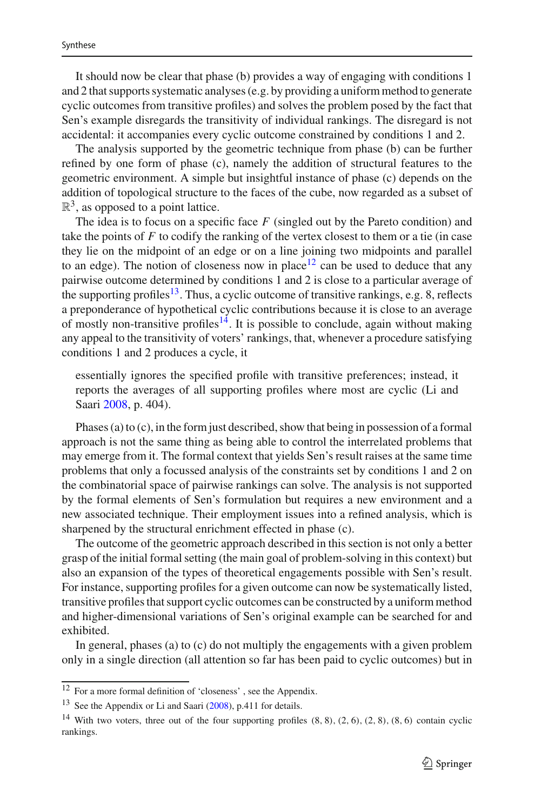It should now be clear that phase (b) provides a way of engaging with conditions 1 and 2 that supports systematic analyses (e.g. by providing a uniform method to generate cyclic outcomes from transitive profiles) and solves the problem posed by the fact that Sen's example disregards the transitivity of individual rankings. The disregard is not accidental: it accompanies every cyclic outcome constrained by conditions 1 and 2.

The analysis supported by the geometric technique from phase (b) can be further refined by one form of phase (c), namely the addition of structural features to the geometric environment. A simple but insightful instance of phase (c) depends on the addition of topological structure to the faces of the cube, now regarded as a subset of  $\mathbb{R}^3$ , as opposed to a point lattice.

The idea is to focus on a specific face *F* (singled out by the Pareto condition) and take the points of *F* to codify the ranking of the vertex closest to them or a tie (in case they lie on the midpoint of an edge or on a line joining two midpoints and parallel to an edge). The notion of closeness now in place<sup>12</sup> can be used to deduce that any pairwise outcome determined by conditions 1 and 2 is close to a particular average of the supporting profiles<sup>13</sup>. Thus, a cyclic outcome of transitive rankings, e.g. 8, reflects a preponderance of hypothetical cyclic contributions because it is close to an average of mostly non-transitive profiles<sup> $14$ </sup>. It is possible to conclude, again without making any appeal to the transitivity of voters' rankings, that, whenever a procedure satisfying conditions 1 and 2 produces a cycle, it

essentially ignores the specified profile with transitive preferences; instead, it reports the averages of all supporting profiles where most are cyclic (Li and Saar[i](#page-19-14) [2008,](#page-19-14) p. 404).

Phases (a) to (c), in the form just described, show that being in possession of a formal approach is not the same thing as being able to control the interrelated problems that may emerge from it. The formal context that yields Sen's result raises at the same time problems that only a focussed analysis of the constraints set by conditions 1 and 2 on the combinatorial space of pairwise rankings can solve. The analysis is not supported by the formal elements of Sen's formulation but requires a new environment and a new associated technique. Their employment issues into a refined analysis, which is sharpened by the structural enrichment effected in phase (c).

The outcome of the geometric approach described in this section is not only a better grasp of the initial formal setting (the main goal of problem-solving in this context) but also an expansion of the types of theoretical engagements possible with Sen's result. For instance, supporting profiles for a given outcome can now be systematically listed, transitive profiles that support cyclic outcomes can be constructed by a uniform method and higher-dimensional variations of Sen's original example can be searched for and exhibited.

In general, phases (a) to (c) do not multiply the engagements with a given problem only in a single direction (all attention so far has been paid to cyclic outcomes) but in

<span id="page-8-0"></span><sup>12</sup> For a more formal definition of 'closeness' , see the Appendix.

<span id="page-8-1"></span><sup>13</sup> See the Appendix or Li and Saar[i](#page-19-14) [\(2008\)](#page-19-14), p.411 for details.

<span id="page-8-2"></span><sup>&</sup>lt;sup>14</sup> With two voters, three out of the four supporting profiles  $(8, 8)$ ,  $(2, 6)$ ,  $(2, 8)$ ,  $(8, 6)$  contain cyclic rankings.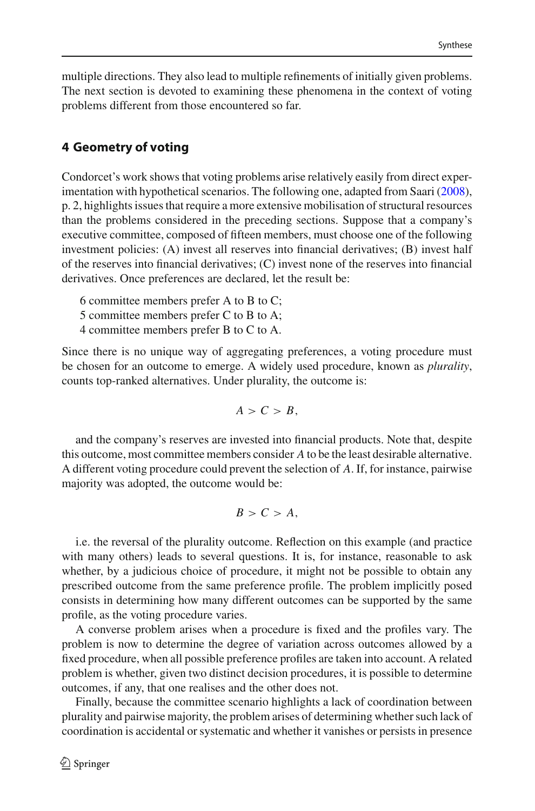multiple directions. They also lead to multiple refinements of initially given problems. The next section is devoted to examining these phenomena in the context of voting problems different from those encountered so far.

# <span id="page-9-0"></span>**4 Geometry of voting**

Condorcet's work shows that voting problems arise relatively easily from direct experimentation with hypothetical scenarios. The following one, adapted from Saar[i](#page-20-4) [\(2008](#page-20-4)), p. 2, highlights issues that require a more extensive mobilisation of structural resources than the problems considered in the preceding sections. Suppose that a company's executive committee, composed of fifteen members, must choose one of the following investment policies: (A) invest all reserves into financial derivatives; (B) invest half of the reserves into financial derivatives; (C) invest none of the reserves into financial derivatives. Once preferences are declared, let the result be:

- 6 committee members prefer A to B to C;
- 5 committee members prefer C to B to A;
- 4 committee members prefer B to C to A.

Since there is no unique way of aggregating preferences, a voting procedure must be chosen for an outcome to emerge. A widely used procedure, known as *plurality*, counts top-ranked alternatives. Under plurality, the outcome is:

$$
A>C>B,
$$

and the company's reserves are invested into financial products. Note that, despite this outcome, most committee members consider *A* to be the least desirable alternative. A different voting procedure could prevent the selection of *A*. If, for instance, pairwise majority was adopted, the outcome would be:

$$
B > C > A,
$$

i.e. the reversal of the plurality outcome. Reflection on this example (and practice with many others) leads to several questions. It is, for instance, reasonable to ask whether, by a judicious choice of procedure, it might not be possible to obtain any prescribed outcome from the same preference profile. The problem implicitly posed consists in determining how many different outcomes can be supported by the same profile, as the voting procedure varies.

A converse problem arises when a procedure is fixed and the profiles vary. The problem is now to determine the degree of variation across outcomes allowed by a fixed procedure, when all possible preference profiles are taken into account. A related problem is whether, given two distinct decision procedures, it is possible to determine outcomes, if any, that one realises and the other does not.

Finally, because the committee scenario highlights a lack of coordination between plurality and pairwise majority, the problem arises of determining whether such lack of coordination is accidental or systematic and whether it vanishes or persists in presence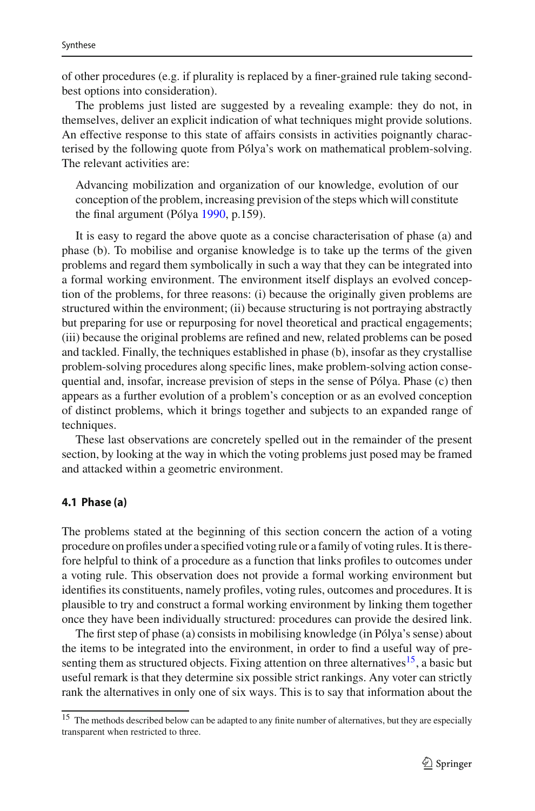of other procedures (e.g. if plurality is replaced by a finer-grained rule taking secondbest options into consideration).

The problems just listed are suggested by a revealing example: they do not, in themselves, deliver an explicit indication of what techniques might provide solutions. An effective response to this state of affairs consists in activities poignantly characterised by the following quote from Pólya's work on mathematical problem-solving. The relevant activities are:

Advancing mobilization and organization of our knowledge, evolution of our conception of the problem, increasing prevision of the steps which will constitute the final argument (Póly[a](#page-20-5) [1990](#page-20-5), p.159).

It is easy to regard the above quote as a concise characterisation of phase (a) and phase (b). To mobilise and organise knowledge is to take up the terms of the given problems and regard them symbolically in such a way that they can be integrated into a formal working environment. The environment itself displays an evolved conception of the problems, for three reasons: (i) because the originally given problems are structured within the environment; (ii) because structuring is not portraying abstractly but preparing for use or repurposing for novel theoretical and practical engagements; (iii) because the original problems are refined and new, related problems can be posed and tackled. Finally, the techniques established in phase (b), insofar as they crystallise problem-solving procedures along specific lines, make problem-solving action consequential and, insofar, increase prevision of steps in the sense of Pólya. Phase (c) then appears as a further evolution of a problem's conception or as an evolved conception of distinct problems, which it brings together and subjects to an expanded range of techniques.

These last observations are concretely spelled out in the remainder of the present section, by looking at the way in which the voting problems just posed may be framed and attacked within a geometric environment.

#### **4.1 Phase (a)**

The problems stated at the beginning of this section concern the action of a voting procedure on profiles under a specified voting rule or a family of voting rules. It is therefore helpful to think of a procedure as a function that links profiles to outcomes under a voting rule. This observation does not provide a formal working environment but identifies its constituents, namely profiles, voting rules, outcomes and procedures. It is plausible to try and construct a formal working environment by linking them together once they have been individually structured: procedures can provide the desired link.

The first step of phase (a) consists in mobilising knowledge (in Pólya's sense) about the items to be integrated into the environment, in order to find a useful way of presenting them as structured objects. Fixing attention on three alternatives<sup>15</sup>, a basic but useful remark is that they determine six possible strict rankings. Any voter can strictly rank the alternatives in only one of six ways. This is to say that information about the

<span id="page-10-0"></span><sup>&</sup>lt;sup>15</sup> The methods described below can be adapted to any finite number of alternatives, but they are especially transparent when restricted to three.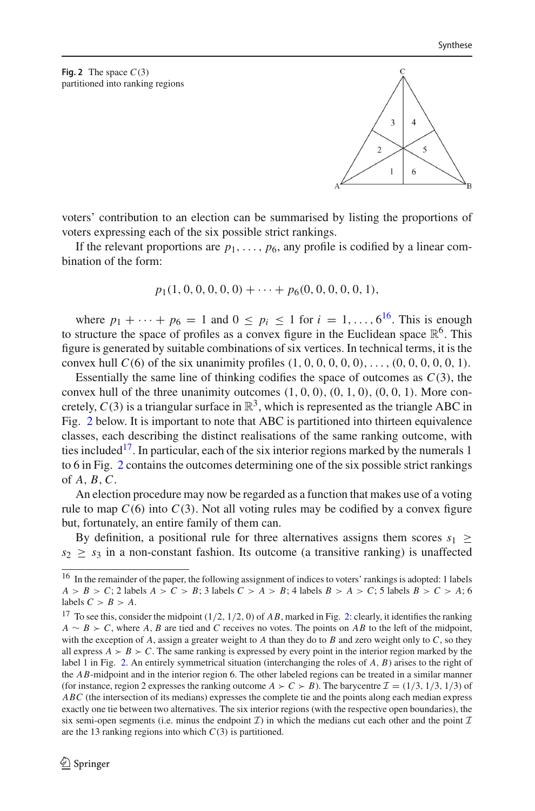<span id="page-11-1"></span>**Fig. 2** The space  $C(3)$ partitioned into ranking regions

> $\overline{\mathbf{3}}$  $\overline{4}$  $\overline{\mathfrak{c}}$  $\overline{\phantom{0}}$  $\overline{1}$ 6

voters' contribution to an election can be summarised by listing the proportions of voters expressing each of the six possible strict rankings.

If the relevant proportions are  $p_1, \ldots, p_6$ , any profile is codified by a linear combination of the form:

$$
p_1(1,0,0,0,0,0)+\cdots+p_6(0,0,0,0,0,1),
$$

where  $p_1 + \cdots + p_6 = 1$  and  $0 \le p_i \le 1$  for  $i = 1, ..., 6^{16}$ . This is enough to structure the space of profiles as a convex figure in the Euclidean space  $\mathbb{R}^6$ . This figure is generated by suitable combinations of six vertices. In technical terms, it is the convex hull  $C(6)$  of the six unanimity profiles  $(1, 0, 0, 0, 0, 0), \ldots, (0, 0, 0, 0, 0, 1)$ .

Essentially the same line of thinking codifies the space of outcomes as *C*(3), the convex hull of the three unanimity outcomes  $(1, 0, 0), (0, 1, 0), (0, 0, 1)$ . More concretely,  $C(3)$  is a triangular surface in  $\mathbb{R}^3$ , which is represented as the triangle ABC in Fig. [2](#page-11-1) below. It is important to note that ABC is partitioned into thirteen equivalence classes, each describing the distinct realisations of the same ranking outcome, with ties included<sup>17</sup>. In particular, each of the six interior regions marked by the numerals 1 to 6 in Fig. [2](#page-11-1) contains the outcomes determining one of the six possible strict rankings of *A*, *B*,*C*.

An election procedure may now be regarded as a function that makes use of a voting rule to map  $C(6)$  into  $C(3)$ . Not all voting rules may be codified by a convex figure but, fortunately, an entire family of them can.

By definition, a positional rule for three alternatives assigns them scores  $s_1 \geq$  $s_2 > s_3$  in a non-constant fashion. Its outcome (a transitive ranking) is unaffected

<span id="page-11-0"></span><sup>&</sup>lt;sup>16</sup> In the remainder of the paper, the following assignment of indices to voters' rankings is adopted: 1 labels  $A > B > C$ ; 2 labels  $A > C > B$ ; 3 labels  $C > A > B$ ; 4 labels  $B > A > C$ ; 5 labels  $B > C > A$ ; 6 labels  $C > B > A$ .

<span id="page-11-2"></span><sup>17</sup> To see this, consider the midpoint (1/2, 1/2, 0) of *AB*, marked in Fig. [2:](#page-11-1) clearly, it identifies the ranking  $A \sim B \succ C$ , where *A*, *B* are tied and *C* receives no votes. The points on *AB* to the left of the midpoint, with the exception of  $A$ , assign a greater weight to  $A$  than they do to  $B$  and zero weight only to  $C$ , so they all express  $A \succ B \succ C$ . The same ranking is expressed by every point in the interior region marked by the label 1 in Fig. [2.](#page-11-1) An entirely symmetrical situation (interchanging the roles of *A*, *B*) arises to the right of the *AB*-midpoint and in the interior region 6. The other labeled regions can be treated in a similar manner (for instance, region 2 expresses the ranking outcome  $A \succ C \succ B$ ). The barycentre  $\mathcal{I} = (1/3, 1/3, 1/3)$  of *ABC* (the intersection of its medians) expresses the complete tie and the points along each median express exactly one tie between two alternatives. The six interior regions (with the respective open boundaries), the six semi-open segments (i.e. minus the endpoint  $\mathcal I$ ) in which the medians cut each other and the point  $\mathcal I$ are the 13 ranking regions into which  $C(3)$  is partitioned.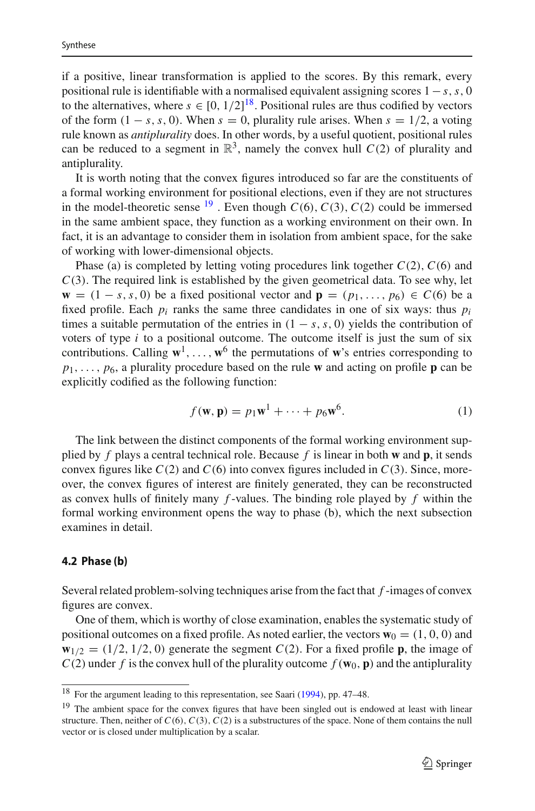if a positive, linear transformation is applied to the scores. By this remark, every positional rule is identifiable with a normalised equivalent assigning scores 1−*s*,*s*, 0 to the alternatives, where  $s \in [0, 1/2]^{18}$  $s \in [0, 1/2]^{18}$  $s \in [0, 1/2]^{18}$ . Positional rules are thus codified by vectors of the form  $(1 - s, s, 0)$ . When  $s = 0$ , plurality rule arises. When  $s = 1/2$ , a voting rule known as *antiplurality* does. In other words, by a useful quotient, positional rules can be reduced to a segment in  $\mathbb{R}^3$ , namely the convex hull  $C(2)$  of plurality and antiplurality.

It is worth noting that the convex figures introduced so far are the constituents of a formal working environment for positional elections, even if they are not structures in the model-theoretic sense  $^{19}$  $^{19}$  $^{19}$ . Even though  $C(6)$ ,  $C(3)$ ,  $C(2)$  could be immersed in the same ambient space, they function as a working environment on their own. In fact, it is an advantage to consider them in isolation from ambient space, for the sake of working with lower-dimensional objects.

Phase (a) is completed by letting voting procedures link together *C*(2),*C*(6) and *C*(3). The required link is established by the given geometrical data. To see why, let **w** = (1 − *s*, *s*, 0) be a fixed positional vector and  $\mathbf{p} = (p_1, \ldots, p_6) \in C(6)$  be a fixed profile. Each  $p_i$  ranks the same three candidates in one of six ways: thus  $p_i$ times a suitable permutation of the entries in  $(1 - s, s, 0)$  yields the contribution of voters of type  $i$  to a positional outcome. The outcome itself is just the sum of six contributions. Calling  $\mathbf{w}^1, \ldots, \mathbf{w}^6$  the permutations of **w**'s entries corresponding to  $p_1, \ldots, p_6$ , a plurality procedure based on the rule **w** and acting on profile **p** can be explicitly codified as the following function:

$$
f(\mathbf{w}, \mathbf{p}) = p_1 \mathbf{w}^1 + \dots + p_6 \mathbf{w}^6.
$$
 (1)

The link between the distinct components of the formal working environment supplied by *f* plays a central technical role. Because *f* is linear in both **w** and **p**, it sends convex figures like  $C(2)$  and  $C(6)$  into convex figures included in  $C(3)$ . Since, moreover, the convex figures of interest are finitely generated, they can be reconstructed as convex hulls of finitely many *f* -values. The binding role played by *f* within the formal working environment opens the way to phase (b), which the next subsection examines in detail.

#### **4.2 Phase (b)**

Several related problem-solving techniques arise from the fact that *f* -images of convex figures are convex.

One of them, which is worthy of close examination, enables the systematic study of positional outcomes on a fixed profile. As noted earlier, the vectors  $\mathbf{w}_0 = (1, 0, 0)$  and  $\mathbf{w}_{1/2} = (1/2, 1/2, 0)$  generate the segment *C*(2). For a fixed profile **p**, the image of  $C(2)$  under *f* is the convex hull of the plurality outcome  $f(\mathbf{w}_0, \mathbf{p})$  and the antiplurality

<span id="page-12-0"></span><sup>18</sup> For the argument leading to this representation, see Saar[i](#page-20-6) [\(1994](#page-20-6)), pp. 47–48.

<span id="page-12-1"></span><sup>&</sup>lt;sup>19</sup> The ambient space for the convex figures that have been singled out is endowed at least with linear structure. Then, neither of  $C(6)$ ,  $C(3)$ ,  $C(2)$  is a substructures of the space. None of them contains the null vector or is closed under multiplication by a scalar.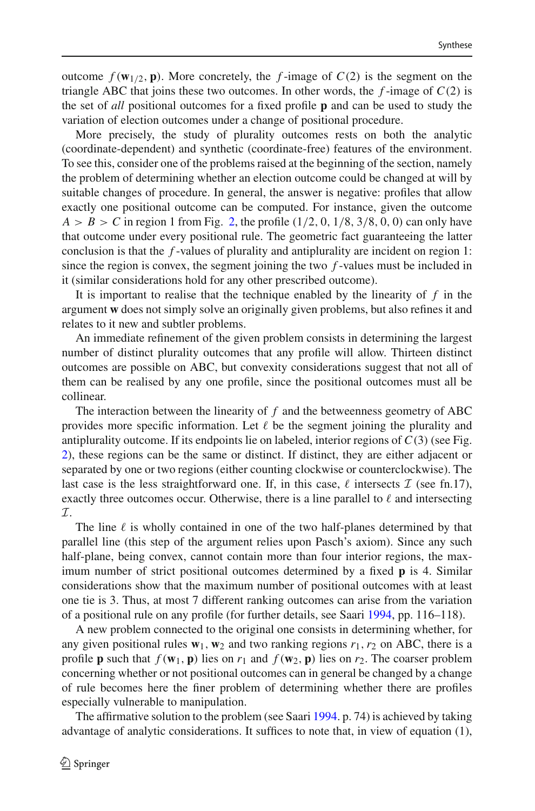outcome  $f(\mathbf{w}_{1/2}, \mathbf{p})$ . More concretely, the *f*-image of  $C(2)$  is the segment on the triangle ABC that joins these two outcomes. In other words, the  $f$ -image of  $C(2)$  is the set of *all* positional outcomes for a fixed profile **p** and can be used to study the variation of election outcomes under a change of positional procedure.

More precisely, the study of plurality outcomes rests on both the analytic (coordinate-dependent) and synthetic (coordinate-free) features of the environment. To see this, consider one of the problems raised at the beginning of the section, namely the problem of determining whether an election outcome could be changed at will by suitable changes of procedure. In general, the answer is negative: profiles that allow exactly one positional outcome can be computed. For instance, given the outcome  $A > B > C$  in region 1 from Fig. [2,](#page-11-1) the profile  $(1/2, 0, 1/8, 3/8, 0, 0)$  can only have that outcome under every positional rule. The geometric fact guaranteeing the latter conclusion is that the *f* -values of plurality and antiplurality are incident on region 1: since the region is convex, the segment joining the two *f* -values must be included in it (similar considerations hold for any other prescribed outcome).

It is important to realise that the technique enabled by the linearity of *f* in the argument **w** does not simply solve an originally given problems, but also refines it and relates to it new and subtler problems.

An immediate refinement of the given problem consists in determining the largest number of distinct plurality outcomes that any profile will allow. Thirteen distinct outcomes are possible on ABC, but convexity considerations suggest that not all of them can be realised by any one profile, since the positional outcomes must all be collinear.

The interaction between the linearity of  $f$  and the betweenness geometry of ABC provides more specific information. Let  $\ell$  be the segment joining the plurality and antiplurality outcome. If its endpoints lie on labeled, interior regions of  $C(3)$  (see Fig. [2\)](#page-11-1), these regions can be the same or distinct. If distinct, they are either adjacent or separated by one or two regions (either counting clockwise or counterclockwise). The last case is the less straightforward one. If, in this case,  $\ell$  intersects  $\mathcal{I}$  (see fn.17), exactly three outcomes occur. Otherwise, there is a line parallel to  $\ell$  and intersecting *I*.

The line  $\ell$  is wholly contained in one of the two half-planes determined by that parallel line (this step of the argument relies upon Pasch's axiom). Since any such half-plane, being convex, cannot contain more than four interior regions, the maximum number of strict positional outcomes determined by a fixed **p** is 4. Similar considerations show that the maximum number of positional outcomes with at least one tie is 3. Thus, at most 7 different ranking outcomes can arise from the variation of a positional rule on any profile (for further details, see Saar[i](#page-20-6) [1994](#page-20-6), pp. 116–118).

A new problem connected to the original one consists in determining whether, for any given positional rules  $w_1$ ,  $w_2$  and two ranking regions  $r_1$ ,  $r_2$  on ABC, there is a profile **p** such that  $f(\mathbf{w}_1, \mathbf{p})$  lies on  $r_1$  and  $f(\mathbf{w}_2, \mathbf{p})$  lies on  $r_2$ . The coarser problem concerning whether or not positional outcomes can in general be changed by a change of rule becomes here the finer problem of determining whether there are profiles especially vulnerable to manipulation.

The affirmative solution to the problem (see Saar[i](#page-20-6) [1994](#page-20-6). p. 74) is achieved by taking advantage of analytic considerations. It suffices to note that, in view of equation (1),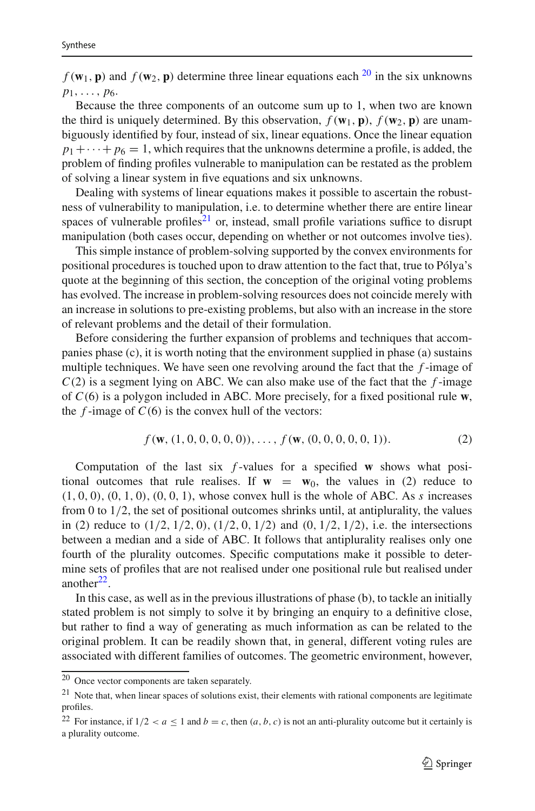$f(\mathbf{w}_1, \mathbf{p})$  and  $f(\mathbf{w}_2, \mathbf{p})$  determine three linear equations each <sup>[20](#page-14-0)</sup> in the six unknowns  $p_1, \ldots, p_6$ .

Because the three components of an outcome sum up to 1, when two are known the third is uniquely determined. By this observation,  $f(\mathbf{w}_1, \mathbf{p})$ ,  $f(\mathbf{w}_2, \mathbf{p})$  are unambiguously identified by four, instead of six, linear equations. Once the linear equation  $p_1 + \cdots + p_6 = 1$ , which requires that the unknowns determine a profile, is added, the problem of finding profiles vulnerable to manipulation can be restated as the problem of solving a linear system in five equations and six unknowns.

Dealing with systems of linear equations makes it possible to ascertain the robustness of vulnerability to manipulation, i.e. to determine whether there are entire linear spaces of vulnerable profiles<sup>21</sup> or, instead, small profile variations suffice to disrupt manipulation (both cases occur, depending on whether or not outcomes involve ties).

This simple instance of problem-solving supported by the convex environments for positional procedures is touched upon to draw attention to the fact that, true to Pólya's quote at the beginning of this section, the conception of the original voting problems has evolved. The increase in problem-solving resources does not coincide merely with an increase in solutions to pre-existing problems, but also with an increase in the store of relevant problems and the detail of their formulation.

Before considering the further expansion of problems and techniques that accompanies phase (c), it is worth noting that the environment supplied in phase (a) sustains multiple techniques. We have seen one revolving around the fact that the *f* -image of  $C(2)$  is a segment lying on ABC. We can also make use of the fact that the  $f$ -image of *C*(6) is a polygon included in ABC. More precisely, for a fixed positional rule **w**, the  $f$ -image of  $C(6)$  is the convex hull of the vectors:

$$
f(\mathbf{w}, (1, 0, 0, 0, 0, 0)), \dots, f(\mathbf{w}, (0, 0, 0, 0, 0, 1)).
$$
 (2)

Computation of the last six *f* -values for a specified **w** shows what positional outcomes that rule realises. If  $w = w_0$ , the values in (2) reduce to  $(1, 0, 0), (0, 1, 0), (0, 0, 1),$  whose convex hull is the whole of ABC. As *s* increases from 0 to  $1/2$ , the set of positional outcomes shrinks until, at antiplurality, the values in (2) reduce to  $(1/2, 1/2, 0), (1/2, 0, 1/2)$  and  $(0, 1/2, 1/2)$ , i.e. the intersections between a median and a side of ABC. It follows that antiplurality realises only one fourth of the plurality outcomes. Specific computations make it possible to determine sets of profiles that are not realised under one positional rule but realised under another $^{22}$ .

In this case, as well as in the previous illustrations of phase (b), to tackle an initially stated problem is not simply to solve it by bringing an enquiry to a definitive close, but rather to find a way of generating as much information as can be related to the original problem. It can be readily shown that, in general, different voting rules are associated with different families of outcomes. The geometric environment, however,

<span id="page-14-0"></span><sup>20</sup> Once vector components are taken separately.

<span id="page-14-1"></span> $21$  Note that, when linear spaces of solutions exist, their elements with rational components are legitimate profiles.

<span id="page-14-2"></span><sup>&</sup>lt;sup>22</sup> For instance, if  $1/2 < a \le 1$  and  $b = c$ , then  $(a, b, c)$  is not an anti-plurality outcome but it certainly is a plurality outcome.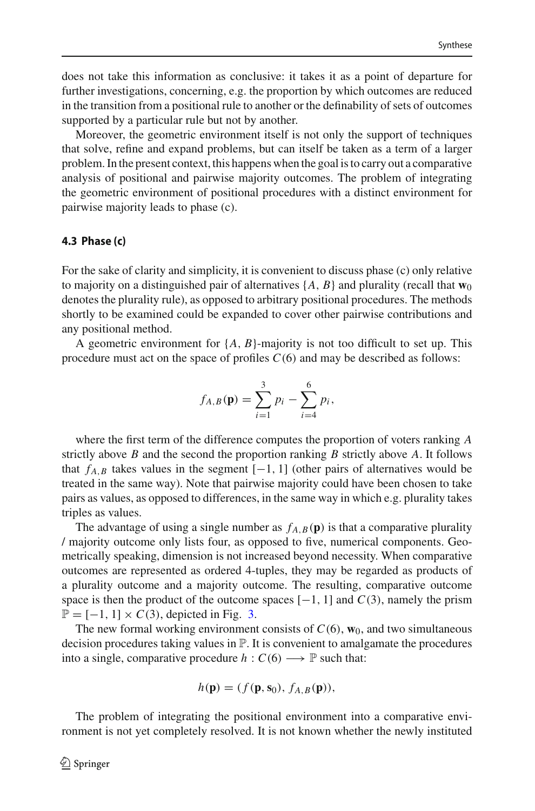does not take this information as conclusive: it takes it as a point of departure for further investigations, concerning, e.g. the proportion by which outcomes are reduced in the transition from a positional rule to another or the definability of sets of outcomes supported by a particular rule but not by another.

Moreover, the geometric environment itself is not only the support of techniques that solve, refine and expand problems, but can itself be taken as a term of a larger problem. In the present context, this happens when the goal is to carry out a comparative analysis of positional and pairwise majority outcomes. The problem of integrating the geometric environment of positional procedures with a distinct environment for pairwise majority leads to phase (c).

#### **4.3 Phase (c)**

For the sake of clarity and simplicity, it is convenient to discuss phase (c) only relative to majority on a distinguished pair of alternatives  $\{A, B\}$  and plurality (recall that  $\mathbf{w}_0$ denotes the plurality rule), as opposed to arbitrary positional procedures. The methods shortly to be examined could be expanded to cover other pairwise contributions and any positional method.

A geometric environment for {*A*, *B*}-majority is not too difficult to set up. This procedure must act on the space of profiles *C*(6) and may be described as follows:

$$
f_{A,B}(\mathbf{p}) = \sum_{i=1}^{3} p_i - \sum_{i=4}^{6} p_i,
$$

where the first term of the difference computes the proportion of voters ranking *A* strictly above *B* and the second the proportion ranking *B* strictly above *A*. It follows that  $f_{A,B}$  takes values in the segment  $[-1, 1]$  (other pairs of alternatives would be treated in the same way). Note that pairwise majority could have been chosen to take pairs as values, as opposed to differences, in the same way in which e.g. plurality takes triples as values.

The advantage of using a single number as  $f_{A,B}(\mathbf{p})$  is that a comparative plurality / majority outcome only lists four, as opposed to five, numerical components. Geometrically speaking, dimension is not increased beyond necessity. When comparative outcomes are represented as ordered 4-tuples, they may be regarded as products of a plurality outcome and a majority outcome. The resulting, comparative outcome space is then the product of the outcome spaces  $[-1, 1]$  and  $C(3)$ , namely the prism  $\mathbb{P} = [-1, 1] \times C(3)$ , depicted in Fig. [3.](#page-16-0)

The new formal working environment consists of  $C(6)$ ,  $\mathbf{w}_0$ , and two simultaneous decision procedures taking values in  $\mathbb{P}$ . It is convenient to amalgamate the procedures into a single, comparative procedure  $h: C(6) \longrightarrow \mathbb{P}$  such that:

$$
h(\mathbf{p}) = (f(\mathbf{p}, \mathbf{s}_0), f_{A,B}(\mathbf{p})),
$$

The problem of integrating the positional environment into a comparative environment is not yet completely resolved. It is not known whether the newly instituted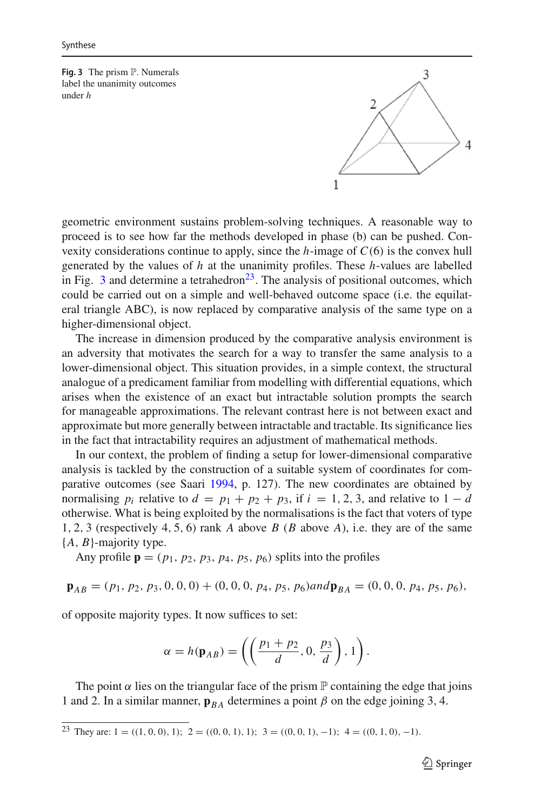<span id="page-16-0"></span>**Fig. 3** The prism  $\mathbb{P}$ . Numerals label the unanimity outcomes under *h*



geometric environment sustains problem-solving techniques. A reasonable way to proceed is to see how far the methods developed in phase (b) can be pushed. Convexity considerations continue to apply, since the *h*-image of *C*(6) is the convex hull generated by the values of *h* at the unanimity profiles. These *h*-values are labelled in Fig.  $3$  and determine a tetrahedron<sup>23</sup>. The analysis of positional outcomes, which could be carried out on a simple and well-behaved outcome space (i.e. the equilateral triangle ABC), is now replaced by comparative analysis of the same type on a higher-dimensional object.

The increase in dimension produced by the comparative analysis environment is an adversity that motivates the search for a way to transfer the same analysis to a lower-dimensional object. This situation provides, in a simple context, the structural analogue of a predicament familiar from modelling with differential equations, which arises when the existence of an exact but intractable solution prompts the search for manageable approximations. The relevant contrast here is not between exact and approximate but more generally between intractable and tractable. Its significance lies in the fact that intractability requires an adjustment of mathematical methods.

In our context, the problem of finding a setup for lower-dimensional comparative analysis is tackled by the construction of a suitable system of coordinates for comparative outcomes (see Saar[i](#page-20-6) [1994](#page-20-6), p. 127). The new coordinates are obtained by normalising  $p_i$  relative to  $d = p_1 + p_2 + p_3$ , if  $i = 1, 2, 3$ , and relative to  $1 - d$ otherwise. What is being exploited by the normalisations is the fact that voters of type 1, 2, 3 (respectively 4, 5, 6) rank *A* above *B* (*B* above *A*), i.e. they are of the same {*A*, *B*}-majority type.

Any profile  $\mathbf{p} = (p_1, p_2, p_3, p_4, p_5, p_6)$  splits into the profiles

$$
\mathbf{p}_{AB} = (p_1, p_2, p_3, 0, 0, 0) + (0, 0, 0, p_4, p_5, p_6) \text{ and } \mathbf{p}_{BA} = (0, 0, 0, p_4, p_5, p_6),
$$

of opposite majority types. It now suffices to set:

$$
\alpha = h(\mathbf{p}_{AB}) = \left( \left( \frac{p_1 + p_2}{d}, 0, \frac{p_3}{d} \right), 1 \right).
$$

The point  $\alpha$  lies on the triangular face of the prism  $\mathbb P$  containing the edge that joins 1 and 2. In a similar manner,  $\mathbf{p}_{BA}$  determines a point  $\beta$  on the edge joining 3, 4.

<span id="page-16-1"></span><sup>&</sup>lt;sup>23</sup> They are: 1 = ((1, 0, 0), 1); 2 = ((0, 0, 1), 1); 3 = ((0, 0, 1), -1); 4 = ((0, 1, 0), -1).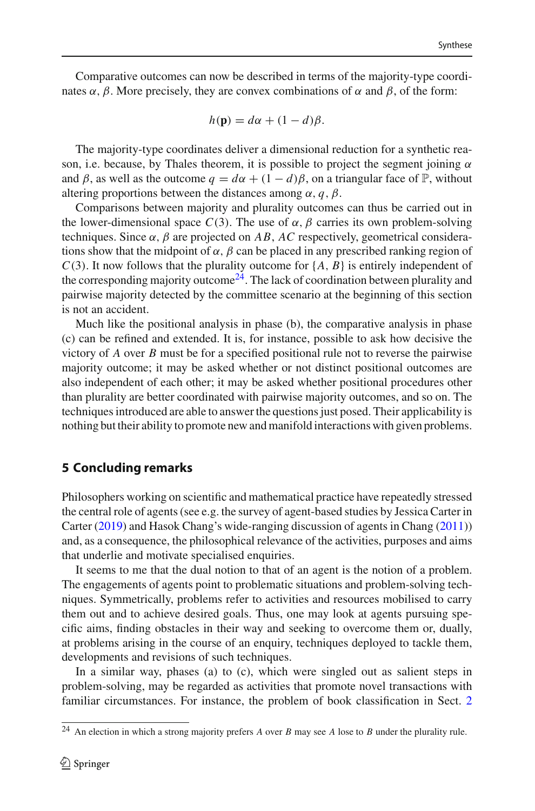Comparative outcomes can now be described in terms of the majority-type coordinates  $\alpha$ ,  $\beta$ . More precisely, they are convex combinations of  $\alpha$  and  $\beta$ , of the form:

$$
h(\mathbf{p}) = d\alpha + (1 - d)\beta.
$$

The majority-type coordinates deliver a dimensional reduction for a synthetic reason, i.e. because, by Thales theorem, it is possible to project the segment joining  $\alpha$ and  $\beta$ , as well as the outcome  $q = d\alpha + (1 - d)\beta$ , on a triangular face of P, without altering proportions between the distances among  $\alpha$ ,  $\beta$ ,  $\beta$ .

Comparisons between majority and plurality outcomes can thus be carried out in the lower-dimensional space  $C(3)$ . The use of  $\alpha$ ,  $\beta$  carries its own problem-solving techniques. Since  $\alpha$ ,  $\beta$  are projected on AB, AC respectively, geometrical considerations show that the midpoint of  $\alpha$ ,  $\beta$  can be placed in any prescribed ranking region of *C*(3). It now follows that the plurality outcome for {*A*, *B*} is entirely independent of the corresponding majority outcome<sup>24</sup>. The lack of coordination between plurality and pairwise majority detected by the committee scenario at the beginning of this section is not an accident.

Much like the positional analysis in phase (b), the comparative analysis in phase (c) can be refined and extended. It is, for instance, possible to ask how decisive the victory of *A* over *B* must be for a specified positional rule not to reverse the pairwise majority outcome; it may be asked whether or not distinct positional outcomes are also independent of each other; it may be asked whether positional procedures other than plurality are better coordinated with pairwise majority outcomes, and so on. The techniques introduced are able to answer the questions just posed. Their applicability is nothing but their ability to promote new and manifold interactions with given problems.

# **5 Concluding remarks**

Philosophers working on scientific and mathematical practice have repeatedly stressed the central role of agents (see e.g. the survey of agent-based studies by Jessica Carter in Carte[r](#page-19-17) [\(2019\)](#page-19-17) and Hasok Chang's wide-ranging discussion of agents in Chan[g](#page-19-18) [\(2011](#page-19-18))) and, as a consequence, the philosophical relevance of the activities, purposes and aims that underlie and motivate specialised enquiries.

It seems to me that the dual notion to that of an agent is the notion of a problem. The engagements of agents point to problematic situations and problem-solving techniques. Symmetrically, problems refer to activities and resources mobilised to carry them out and to achieve desired goals. Thus, one may look at agents pursuing specific aims, finding obstacles in their way and seeking to overcome them or, dually, at problems arising in the course of an enquiry, techniques deployed to tackle them, developments and revisions of such techniques.

In a similar way, phases (a) to (c), which were singled out as salient steps in problem-solving, may be regarded as activities that promote novel transactions with familiar circumstances. For instance, the problem of book classification in Sect. [2](#page-3-0)

<span id="page-17-0"></span><sup>24</sup> An election in which a strong majority prefers *A* over *B* may see *A* lose to *B* under the plurality rule.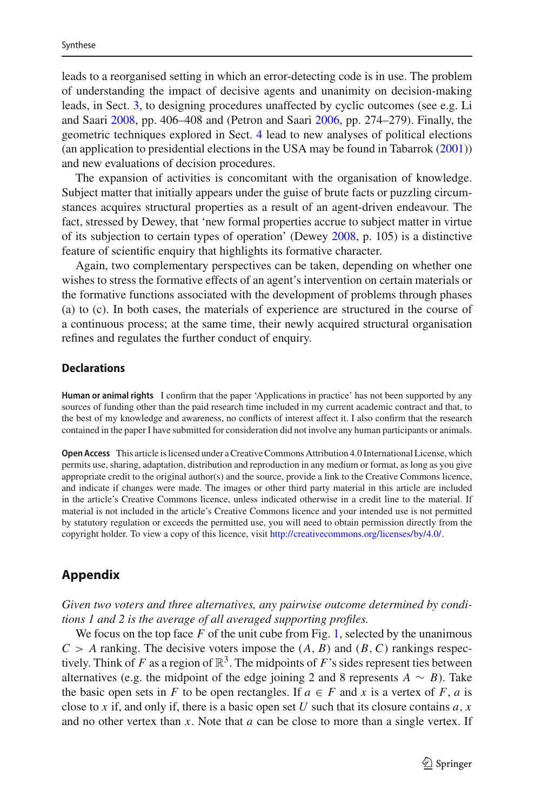leads to a reorganised setting in which an error-detecting code is in use. The problem of understanding the impact of decisive agents and unanimity on decision-making leads, in Sect. [3,](#page-5-0) to designing procedures unaffected by cyclic outcomes (see e.g. Li and Saar[i](#page-19-14) [2008](#page-19-14), pp. 406–408 and (Petron and Saar[i](#page-20-7) [2006,](#page-20-7) pp. 274–279). Finally, the geometric techniques explored in Sect. [4](#page-9-0) lead to new analyses of political elections (an application to presidential elections in the USA may be found in Tabarro[k](#page-20-8) [\(2001](#page-20-8))) and new evaluations of decision procedures.

The expansion of activities is concomitant with the organisation of knowledge. Subject matter that initially appears under the guise of brute facts or puzzling circumstances acquires structural properties as a result of an agent-driven endeavour. The fact, stressed by Dewey, that 'new formal properties accrue to subject matter in virtue of its subjection to certain types of operation' (Dewe[y](#page-19-19) [2008,](#page-19-19) p. 105) is a distinctive feature of scientific enquiry that highlights its formative character.

Again, two complementary perspectives can be taken, depending on whether one wishes to stress the formative effects of an agent's intervention on certain materials or the formative functions associated with the development of problems through phases (a) to (c). In both cases, the materials of experience are structured in the course of a continuous process; at the same time, their newly acquired structural organisation refines and regulates the further conduct of enquiry.

#### **Declarations**

**Human or animal rights** I confirm that the paper 'Applications in practice' has not been supported by any sources of funding other than the paid research time included in my current academic contract and that, to the best of my knowledge and awareness, no conflicts of interest affect it. I also confirm that the research contained in the paper I have submitted for consideration did not involve any human participants or animals.

**Open Access** This article is licensed under a Creative Commons Attribution 4.0 International License, which permits use, sharing, adaptation, distribution and reproduction in any medium or format, as long as you give appropriate credit to the original author(s) and the source, provide a link to the Creative Commons licence, and indicate if changes were made. The images or other third party material in this article are included in the article's Creative Commons licence, unless indicated otherwise in a credit line to the material. If material is not included in the article's Creative Commons licence and your intended use is not permitted by statutory regulation or exceeds the permitted use, you will need to obtain permission directly from the copyright holder. To view a copy of this licence, visit [http://creativecommons.org/licenses/by/4.0/.](http://creativecommons.org/licenses/by/4.0/)

# **Appendix**

*Given two voters and three alternatives, any pairwise outcome determined by conditions 1 and 2 is the average of all averaged supporting profiles.*

We focus on the top face *F* of the unit cube from Fig. [1,](#page-7-0) selected by the unanimous  $C > A$  ranking. The decisive voters impose the  $(A, B)$  and  $(B, C)$  rankings respectively. Think of *F* as a region of  $\mathbb{R}^3$ . The midpoints of *F*'s sides represent ties between alternatives (e.g. the midpoint of the edge joining 2 and 8 represents  $A \sim B$ ). Take the basic open sets in *F* to be open rectangles. If  $a \in F$  and *x* is a vertex of *F*, *a* is close to *x* if, and only if, there is a basic open set *U* such that its closure contains *a*, *x* and no other vertex than *x*. Note that *a* can be close to more than a single vertex. If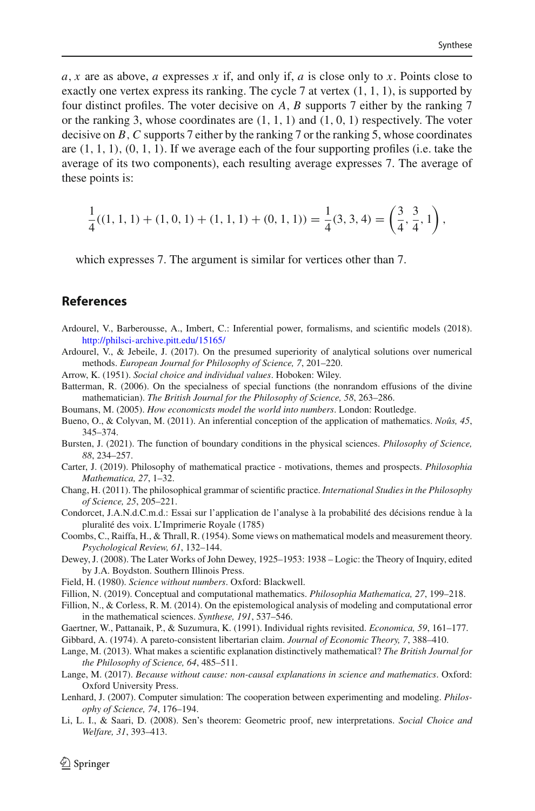*a*, *x* are as above, *a* expresses *x* if, and only if, *a* is close only to *x*. Points close to exactly one vertex express its ranking. The cycle 7 at vertex  $(1, 1, 1)$ , is supported by four distinct profiles. The voter decisive on *A*, *B* supports 7 either by the ranking 7 or the ranking 3, whose coordinates are  $(1, 1, 1)$  and  $(1, 0, 1)$  respectively. The voter decisive on *B*,*C* supports 7 either by the ranking 7 or the ranking 5, whose coordinates are  $(1, 1, 1)$ ,  $(0, 1, 1)$ . If we average each of the four supporting profiles (i.e. take the average of its two components), each resulting average expresses 7. The average of these points is:

$$
\frac{1}{4}((1, 1, 1) + (1, 0, 1) + (1, 1, 1) + (0, 1, 1)) = \frac{1}{4}(3, 3, 4) = \left(\frac{3}{4}, \frac{3}{4}, 1\right),
$$

which expresses 7. The argument is similar for vertices other than 7.

## **References**

- <span id="page-19-6"></span>Ardourel, V., Barberousse, A., Imbert, C.: Inferential power, formalisms, and scientific models (2018). <http://philsci-archive.pitt.edu/15165/>
- <span id="page-19-0"></span>Ardourel, V., & Jebeile, J. (2017). On the presumed superiority of analytical solutions over numerical methods. *European Journal for Philosophy of Science, 7*, 201–220.
- <span id="page-19-13"></span>Arrow, K. (1951). *Social choice and individual values*. Hoboken: Wiley.
- <span id="page-19-1"></span>Batterman, R. (2006). On the specialness of special functions (the nonrandom effusions of the divine mathematician). *The British Journal for the Philosophy of Science, 58*, 263–286.
- <span id="page-19-5"></span>Boumans, M. (2005). *How economicsts model the world into numbers*. London: Routledge.
- <span id="page-19-8"></span>Bueno, O., & Colyvan, M. (2011). An inferential conception of the application of mathematics. *Noûs, 45*, 345–374.
- <span id="page-19-2"></span>Bursten, J. (2021). The function of boundary conditions in the physical sciences. *Philosophy of Science, 88*, 234–257.
- <span id="page-19-17"></span>Carter, J. (2019). Philosophy of mathematical practice - motivations, themes and prospects. *Philosophia Mathematica, 27*, 1–32.
- <span id="page-19-18"></span>Chang, H. (2011). The philosophical grammar of scientific practice. *International Studies in the Philosophy of Science, 25*, 205–221.
- <span id="page-19-12"></span>Condorcet, J.A.N.d.C.m.d.: Essai sur l'application de l'analyse à la probabilité des décisions rendue à la pluralité des voix. L'Imprimerie Royale (1785)
- <span id="page-19-11"></span>Coombs, C., Raiffa, H., & Thrall, R. (1954). Some views on mathematical models and measurement theory. *Psychological Review, 61*, 132–144.
- <span id="page-19-19"></span>Dewey, J. (2008). The Later Works of John Dewey, 1925–1953: 1938 – Logic: the Theory of Inquiry, edited by J.A. Boydston. Southern Illinois Press.
- <span id="page-19-7"></span>Field, H. (1980). *Science without numbers*. Oxford: Blackwell.
- <span id="page-19-3"></span>Fillion, N. (2019). Conceptual and computational mathematics. *Philosophia Mathematica, 27*, 199–218.
- Fillion, N., & Corless, R. M. (2014). On the epistemological analysis of modeling and computational error in the mathematical sciences. *Synthese, 191*, 537–546.
- <span id="page-19-16"></span>Gaertner, W., Pattanaik, P., & Suzumura, K. (1991). Individual rights revisited. *Economica, 59*, 161–177.
- <span id="page-19-15"></span>Gibbard, A. (1974). A pareto-consistent libertarian claim. *Journal of Economic Theory, 7*, 388–410.
- <span id="page-19-9"></span>Lange, M. (2013). What makes a scientific explanation distinctively mathematical? *The British Journal for the Philosophy of Science, 64*, 485–511.
- <span id="page-19-10"></span>Lange, M. (2017). *Because without cause: non-causal explanations in science and mathematics*. Oxford: Oxford University Press.
- <span id="page-19-4"></span>Lenhard, J. (2007). Computer simulation: The cooperation between experimenting and modeling. *Philosophy of Science, 74*, 176–194.
- <span id="page-19-14"></span>Li, L. I., & Saari, D. (2008). Sen's theorem: Geometric proof, new interpretations. *Social Choice and Welfare, 31*, 393–413.